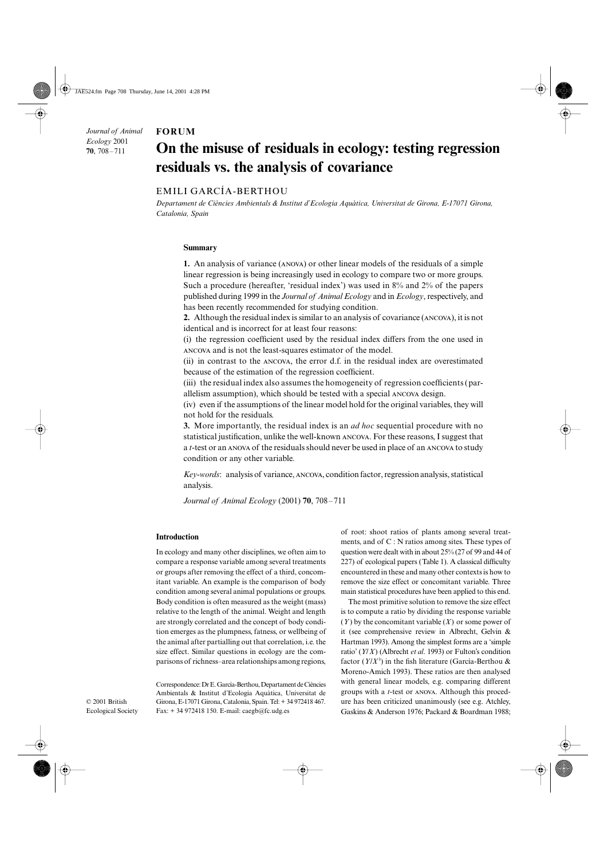#### *Journal of Animal*  Blackwell Science, Ltd Oxford, UK JAEournal of Animal Ecology 0021-8790 British Ecological Society, 2001 <sup>704201</sup> <sup>524</sup> Misuse of regression residuals E. García-Berthou **FORUM** <sup>000</sup> Graphicraft Limited, Hong Kong

*Ecology* 2001 **70**, 708–711

# **On the misuse of residuals in ecology: testing regression residuals vs. the analysis of covariance**

## EMILI GARCÍA-BERTHOU

*Departament de Ciències Ambientals & Institut d'Ecologia Aquàtica, Universitat de Girona, E-17071 Girona, Catalonia, Spain*

### **Summary**

**1.** An analysis of variance (ANOVA) or other linear models of the residuals of a simple linear regression is being increasingly used in ecology to compare two or more groups. Such a procedure (hereafter, 'residual index') was used in 8% and 2% of the papers published during 1999 in the *Journal of Animal Ecology* and in *Ecology*, respectively, and has been recently recommended for studying condition.

**2.** Although the residual index is similar to an analysis of covariance (ANCOVA), it is not identical and is incorrect for at least four reasons:

(i) the regression coefficient used by the residual index differs from the one used in and is not the least-squares estimator of the model.

 $(ii)$  in contrast to the  $ANCOVA$ , the error d.f. in the residual index are overestimated because of the estimation of the regression coefficient.

(iii) the residual index also assumes the homogeneity of regression coefficients (parallelism assumption), which should be tested with a special ANCOVA design.

(iv) even if the assumptions of the linear model hold for the original variables, they will not hold for the residuals.

**3.** More importantly, the residual index is an *ad hoc* sequential procedure with no statistical justification, unlike the well-known ANCOVA. For these reasons, I suggest that a *t*-test or an ANOVA of the residuals should never be used in place of an ANCOVA to study condition or any other variable.

Key-words: analysis of variance, ANCOVA, condition factor, regression analysis, statistical analysis.

*Journal of Animal Ecology* (2001) **70**, 708–711

#### **Introduction**

In ecology and many other disciplines, we often aim to compare a response variable among several treatments or groups after removing the effect of a third, concomitant variable. An example is the comparison of body condition among several animal populations or groups. Body condition is often measured as the weight (mass) relative to the length of the animal. Weight and length are strongly correlated and the concept of body condition emerges as the plumpness, fatness, or wellbeing of the animal after partialling out that correlation, i.e. the size effect. Similar questions in ecology are the comparisons of richness–area relationships among regions,

Correspondence: Dr E. García-Berthou, Departament de Ciències Ambientals & Institut d'Ecologia Aquàtica, Universitat de Girona, E-17071 Girona, Catalonia, Spain. Tel: + 34 972418 467. Fax: + 34 972418 150. E-mail: caegb@fc.udg.es

of root: shoot ratios of plants among several treatments, and of C : N ratios among sites. These types of question were dealt with in about 25% (27 of 99 and 44 of 227) of ecological papers (Table 1). A classical difficulty encountered in these and many other contexts is how to remove the size effect or concomitant variable. Three main statistical procedures have been applied to this end.

The most primitive solution to remove the size effect is to compute a ratio by dividing the response variable (*Y* ) by the concomitant variable (*X*) or some power of it (see comprehensive review in Albrecht, Gelvin & Hartman 1993). Among the simplest forms are a 'simple ratio' (*Y*/*X*) (Albrecht *et al*. 1993) or Fulton's condition factor  $(Y/X^3)$  in the fish literature (García-Berthou & Moreno-Amich 1993). These ratios are then analysed with general linear models, e.g. comparing different groups with a *t*-test or ANOVA. Although this procedure has been criticized unanimously (see e.g. Atchley, Gaskins & Anderson 1976; Packard & Boardman 1988;

© 2001 British Ecological Society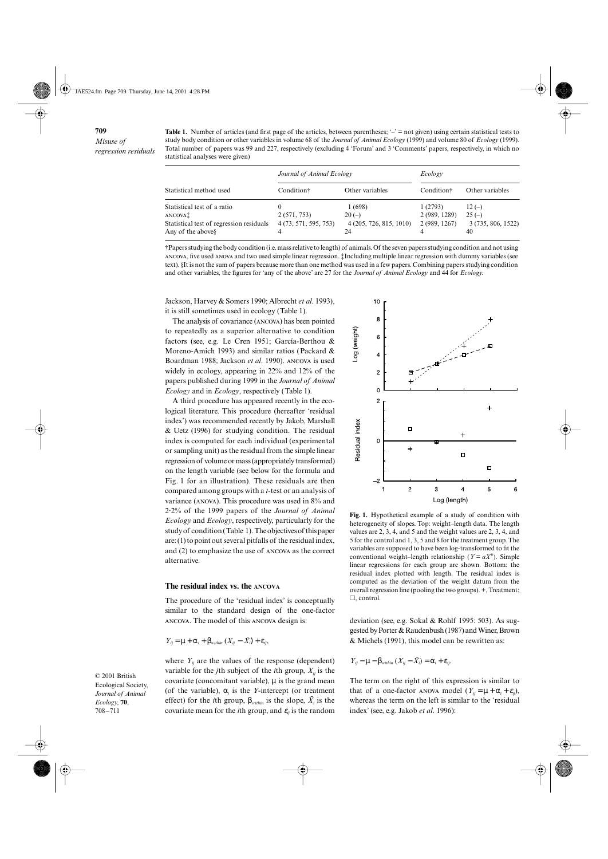**Table 1.** Number of articles (and first page of the articles, between parentheses; '–' = not given) using certain statistical tests to study body condition or other variables in volume 68 of the *Journal of Animal Ecology* (1999) and volume 80 of *Ecology* (1999). Total number of papers was 99 and 227, respectively (excluding 4 'Forum' and 3 'Comments' papers, respectively, in which no statistical analyses were given)

| Statistical method used                                                                                             | Journal of Animal Ecology                  |                                                    | Ecology                                  |                                                |
|---------------------------------------------------------------------------------------------------------------------|--------------------------------------------|----------------------------------------------------|------------------------------------------|------------------------------------------------|
|                                                                                                                     | Condition†                                 | Other variables                                    | Condition <sup>†</sup>                   | Other variables                                |
| Statistical test of a ratio<br>ANCOVA <sup>†</sup><br>Statistical test of regression residuals<br>Any of the aboves | 2 (571, 753)<br>4 (73, 571, 595, 753)<br>4 | 1(698)<br>$20(-)$<br>4 (205, 726, 815, 1010)<br>24 | 1(2793)<br>2 (989, 1289)<br>2(989, 1267) | $12(-)$<br>$25(-)$<br>3 (735, 806, 1522)<br>40 |

†Papers studying the body condition (i.e. mass relative to length) of animals. Of the seven papers studying condition and not using , five used and two used simple linear regression. ‡Including multiple linear regression with dummy variables (see text). §It is not the sum of papers because more than one method was used in a few papers. Combining papers studying condition and other variables, the figures for 'any of the above' are 27 for the *Journal of Animal Ecology* and 44 for *Ecology.*

Jackson, Harvey & Somers 1990; Albrecht *et al*. 1993), it is still sometimes used in ecology (Table 1).

The analysis of covariance (ANCOVA) has been pointed to repeatedly as a superior alternative to condition factors (see, e.g. Le Cren 1951; García-Berthou & Moreno-Amich 1993) and similar ratios (Packard & Boardman 1988; Jackson et al. 1990). ANCOVA is used widely in ecology, appearing in 22% and 12% of the papers published during 1999 in the *Journal of Animal Ecology* and in *Ecology*, respectively (Table 1).

A third procedure has appeared recently in the ecological literature. This procedure (hereafter 'residual index') was recommended recently by Jakob, Marshall & Uetz (1996) for studying condition. The residual index is computed for each individual (experimental or sampling unit) as the residual from the simple linear regression of volume or mass (appropriately transformed) on the length variable (see below for the formula and Fig. 1 for an illustration). These residuals are then compared among groups with a *t*-test or an analysis of variance (ANOVA). This procedure was used in 8% and 2·2% of the 1999 papers of the *Journal of Animal Ecology* and *Ecology*, respectively, particularly for the study of condition (Table 1). The objectives of this paper are: (1) to point out several pitfalls of the residual index, and  $(2)$  to emphasize the use of  $ANCOVA$  as the correct alternative.

#### **The residual index vs. the ANCOVA**

The procedure of the 'residual index' is conceptually similar to the standard design of the one-factor ANCOVA. The model of this ANCOVA design is:

$$
Y_{ij} = \mu + \alpha_i + \beta_{within} (X_{ij} - \bar{X}_i) + \varepsilon_{ij},
$$

where  $Y_{ii}$  are the values of the response (dependent) variable for the *j*th subject of the *i*th group,  $X_{ij}$  is the covariate (concomitant variable),  $\mu$  is the grand mean (of the variable),  $\alpha_i$  is the *Y*-intercept (or treatment effect) for the *i*th group,  $\beta_{within}$  is the slope,  $\bar{X}_i$  is the covariate mean for the *i*th group, and  $\varepsilon$ <sub>*ii*</sub> is the random



**Fig. 1.** Hypothetical example of a study of condition with heterogeneity of slopes. Top: weight–length data. The length values are 2, 3, 4, and 5 and the weight values are 2, 3, 4, and 5 for the control and 1, 3, 5 and 8 for the treatment group. The variables are supposed to have been log-transformed to fit the conventional weight–length relationship ( $Y = aX^b$ ). Simple linear regressions for each group are shown. Bottom: the residual index plotted with length. The residual index is computed as the deviation of the weight datum from the overall regression line (pooling the two groups). +, Treatment;  $\square$ , control.

deviation (see, e.g. Sokal & Rohlf 1995: 503). As suggested by Porter & Raudenbush (1987) and Winer, Brown & Michels (1991), this model can be rewritten as:

$$
Y_{ij} - \mu - \beta_{within} (X_{ij} - \bar{X}_i) = \alpha_i + \varepsilon_{ij}.
$$

The term on the right of this expression is similar to that of a one-factor ANOVA model  $(Y_{ii} = \mu + \alpha_i + \varepsilon_{ii})$ , whereas the term on the left is similar to the 'residual index' (see, e.g. Jakob *et al*. 1996):

© 2001 British Ecological Society, *Journal of Animal Ecology*, **70**, 708–711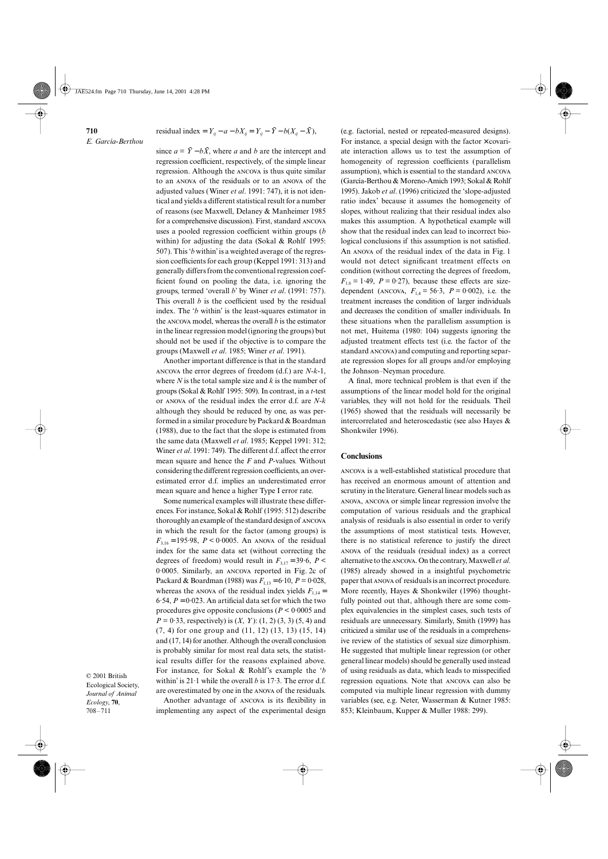since  $a = \overline{Y} - b\overline{X}$ , where *a* and *b* are the intercept and regression coefficient, respectively, of the simple linear regression. Although the ANCOVA is thus quite similar to an ANOVA of the residuals or to an ANOVA of the adjusted values (Winer *et al*. 1991: 747), it is not identical and yields a different statistical result for a number of reasons (see Maxwell, Delaney & Manheimer 1985 for a comprehensive discussion). First, standard uses a pooled regression coefficient within groups (*b* within) for adjusting the data (Sokal & Rohlf 1995: 507). This '*b* within' is a weighted average of the regression coefficients for each group (Keppel 1991: 313) and generally differs from the conventional regression coefficient found on pooling the data, i.e. ignoring the groups, termed 'overall *b*' by Winer *et al*. (1991: 757). This overall *b* is the coefficient used by the residual index. The '*b* within' is the least-squares estimator in the  $ANCOVA$  model, whereas the overall  $b$  is the estimator in the linear regression model (ignoring the groups) but should not be used if the objective is to compare the groups (Maxwell *et al*. 1985; Winer *et al*. 1991).

Another important difference is that in the standard ANCOVA the error degrees of freedom (d.f.) are *N-k-*1, where *N* is the total sample size and *k* is the number of groups (Sokal & Rohlf 1995: 509). In contrast, in a *t*-test or ANOVA of the residual index the error d.f. are *N-k* although they should be reduced by one, as was performed in a similar procedure by Packard & Boardman (1988), due to the fact that the slope is estimated from the same data (Maxwell *et al*. 1985; Keppel 1991: 312; Winer *et al*. 1991: 749). The different d.f. affect the error mean square and hence the *F* and *P*-values. Without considering the different regression coefficients, an overestimated error d.f. implies an underestimated error mean square and hence a higher Type I error rate.

Some numerical examples will illustrate these differences. For instance, Sokal & Rohlf (1995: 512) describe thoroughly an example of the standard design of in which the result for the factor (among groups) is  $F_{3,16} = 195.98$ ,  $P < 0.0005$ . An anova of the residual index for the same data set (without correcting the degrees of freedom) would result in  $F_{3,17} = 39.6$ ,  $P \le$ 0.0005. Similarly, an ANCOVA reported in Fig. 2c of Packard & Boardman (1988) was *F*1,13 = 6·10, *P* = 0·028, whereas the ANOVA of the residual index yields  $F_{1,14}$  = 6.54,  $P = 0.023$ . An artificial data set for which the two procedures give opposite conclusions ( $P \le 0.0005$  and *P* = 0·33, respectively) is (*X*, *Y* ): (1, 2) (3, 3) (5, 4) and (7, 4) for one group and (11, 12) (13, 13) (15, 14) and (17, 14) for another. Although the overall conclusion is probably similar for most real data sets, the statistical results differ for the reasons explained above. For instance, for Sokal & Rohlf's example the '*b* within' is 21·1 while the overall *b* is 17·3. The error d.f. are overestimated by one in the ANOVA of the residuals. Another advantage of ANCOVA is its flexibility in implementing any aspect of the experimental design

© 2001 British Ecological Society, *Journal of Animal Ecology*, **70**, 708–711

(e.g. factorial, nested or repeated-measured designs). For instance, a special design with the factor  $\times$  covariate interaction allows us to test the assumption of homogeneity of regression coefficients (parallelism assumption), which is essential to the standard (García-Berthou & Moreno-Amich 1993; Sokal & Rohlf 1995). Jakob *et al*. (1996) criticized the 'slope-adjusted ratio index' because it assumes the homogeneity of slopes, without realizing that their residual index also makes this assumption. A hypothetical example will show that the residual index can lead to incorrect biological conclusions if this assumption is not satisfied. An ANOVA of the residual index of the data in Fig. 1 would not detect significant treatment effects on condition (without correcting the degrees of freedom,  $F_{1,6} = 1.49$ ,  $P = 0.27$ ), because these effects are sizedependent (ANCOVA,  $F_{1,4} = 56.3$ ,  $P = 0.002$ ), i.e. the treatment increases the condition of larger individuals and decreases the condition of smaller individuals. In these situations when the parallelism assumption is not met, Huitema (1980: 104) suggests ignoring the adjusted treatment effects test (i.e. the factor of the standard  $ANCOVA$ ) and computing and reporting separate regression slopes for all groups and/or employing the Johnson–Neyman procedure.

A final, more technical problem is that even if the assumptions of the linear model hold for the original variables, they will not hold for the residuals. Theil (1965) showed that the residuals will necessarily be intercorrelated and heteroscedastic (see also Hayes & Shonkwiler 1996).

#### **Conclusions**

ANCOVA is a well-established statistical procedure that has received an enormous amount of attention and scrutiny in the literature. General linear models such as ANOVA, ANCOVA or simple linear regression involve the computation of various residuals and the graphical analysis of residuals is also essential in order to verify the assumptions of most statistical tests. However, there is no statistical reference to justify the direct of the residuals (residual index) as a correct alternative to the ANCOVA. On the contrary, Maxwell *et al.* (1985) already showed in a insightful psychometric paper that ANOVA of residuals is an incorrect procedure. More recently, Hayes & Shonkwiler (1996) thoughtfully pointed out that, although there are some complex equivalencies in the simplest cases, such tests of residuals are unnecessary. Similarly, Smith (1999) has criticized a similar use of the residuals in a comprehensive review of the statistics of sexual size dimorphism. He suggested that multiple linear regression (or other general linear models) should be generally used instead of using residuals as data, which leads to misspecified regression equations. Note that ANCOVA can also be computed via multiple linear regression with dummy variables (see, e.g. Neter, Wasserman & Kutner 1985: 853; Kleinbaum, Kupper & Muller 1988: 299).